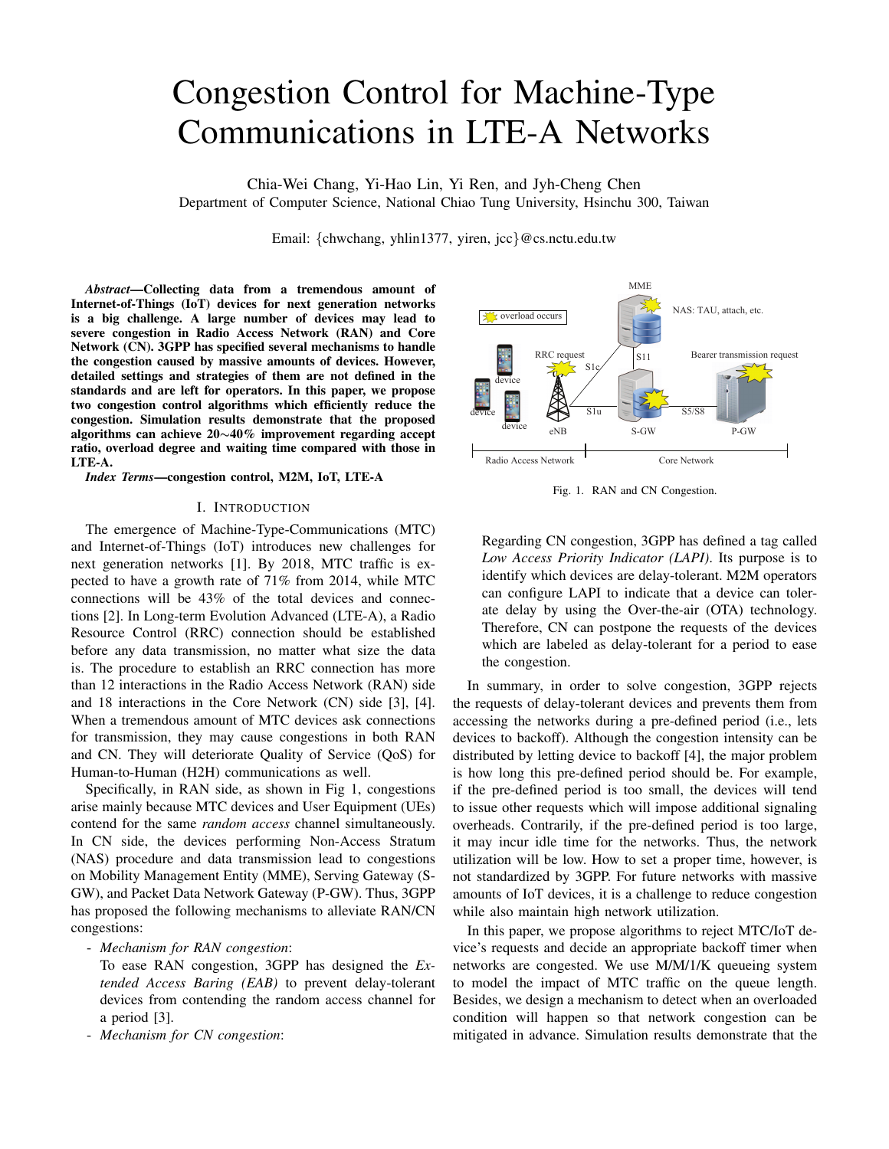# Congestion Control for Machine-Type Communications in LTE-A Networks

Chia-Wei Chang, Yi-Hao Lin, Yi Ren, and Jyh-Cheng Chen Department of Computer Science, National Chiao Tung University, Hsinchu 300, Taiwan

Email: {chwchang, yhlin1377, yiren, jcc}@cs.nctu.edu.tw

*Abstract***—Collecting data from a tremendous amount of Internet-of-Things (IoT) devices for next generation networks is a big challenge. A large number of devices may lead to severe congestion in Radio Access Network (RAN) and Core Network (CN). 3GPP has specified several mechanisms to handle the congestion caused by massive amounts of devices. However, detailed settings and strategies of them are not defined in the standards and are left for operators. In this paper, we propose two congestion control algorithms which efficiently reduce the congestion. Simulation results demonstrate that the proposed algorithms can achieve 20**∼**40% improvement regarding accept ratio, overload degree and waiting time compared with those in LTE-A.**

*Index Terms***—congestion control, M2M, IoT, LTE-A**

## I. INTRODUCTION

The emergence of Machine-Type-Communications (MTC) and Internet-of-Things (IoT) introduces new challenges for next generation networks [1]. By 2018, MTC traffic is expected to have a growth rate of 71% from 2014, while MTC connections will be 43% of the total devices and connections [2]. In Long-term Evolution Advanced (LTE-A), a Radio Resource Control (RRC) connection should be established before any data transmission, no matter what size the data is. The procedure to establish an RRC connection has more than 12 interactions in the Radio Access Network (RAN) side and 18 interactions in the Core Network (CN) side [3], [4]. When a tremendous amount of MTC devices ask connections for transmission, they may cause congestions in both RAN and CN. They will deteriorate Quality of Service (QoS) for Human-to-Human (H2H) communications as well.

Specifically, in RAN side, as shown in Fig 1, congestions arise mainly because MTC devices and User Equipment (UEs) contend for the same *random access* channel simultaneously. In CN side, the devices performing Non-Access Stratum (NAS) procedure and data transmission lead to congestions on Mobility Management Entity (MME), Serving Gateway (S-GW), and Packet Data Network Gateway (P-GW). Thus, 3GPP has proposed the following mechanisms to alleviate RAN/CN congestions:

- *Mechanism for RAN congestion*:

To ease RAN congestion, 3GPP has designed the *Extended Access Baring (EAB)* to prevent delay-tolerant devices from contending the random access channel for a period [3].

- *Mechanism for CN congestion*:



Fig. 1. RAN and CN Congestion.

Regarding CN congestion, 3GPP has defined a tag called *Low Access Priority Indicator (LAPI)*. Its purpose is to identify which devices are delay-tolerant. M2M operators can configure LAPI to indicate that a device can tolerate delay by using the Over-the-air (OTA) technology. Therefore, CN can postpone the requests of the devices which are labeled as delay-tolerant for a period to ease the congestion.

In summary, in order to solve congestion, 3GPP rejects the requests of delay-tolerant devices and prevents them from accessing the networks during a pre-defined period (i.e., lets devices to backoff). Although the congestion intensity can be distributed by letting device to backoff [4], the major problem is how long this pre-defined period should be. For example, if the pre-defined period is too small, the devices will tend to issue other requests which will impose additional signaling overheads. Contrarily, if the pre-defined period is too large, it may incur idle time for the networks. Thus, the network utilization will be low. How to set a proper time, however, is not standardized by 3GPP. For future networks with massive amounts of IoT devices, it is a challenge to reduce congestion while also maintain high network utilization.

In this paper, we propose algorithms to reject MTC/IoT device's requests and decide an appropriate backoff timer when networks are congested. We use M/M/1/K queueing system to model the impact of MTC traffic on the queue length. Besides, we design a mechanism to detect when an overloaded condition will happen so that network congestion can be mitigated in advance. Simulation results demonstrate that the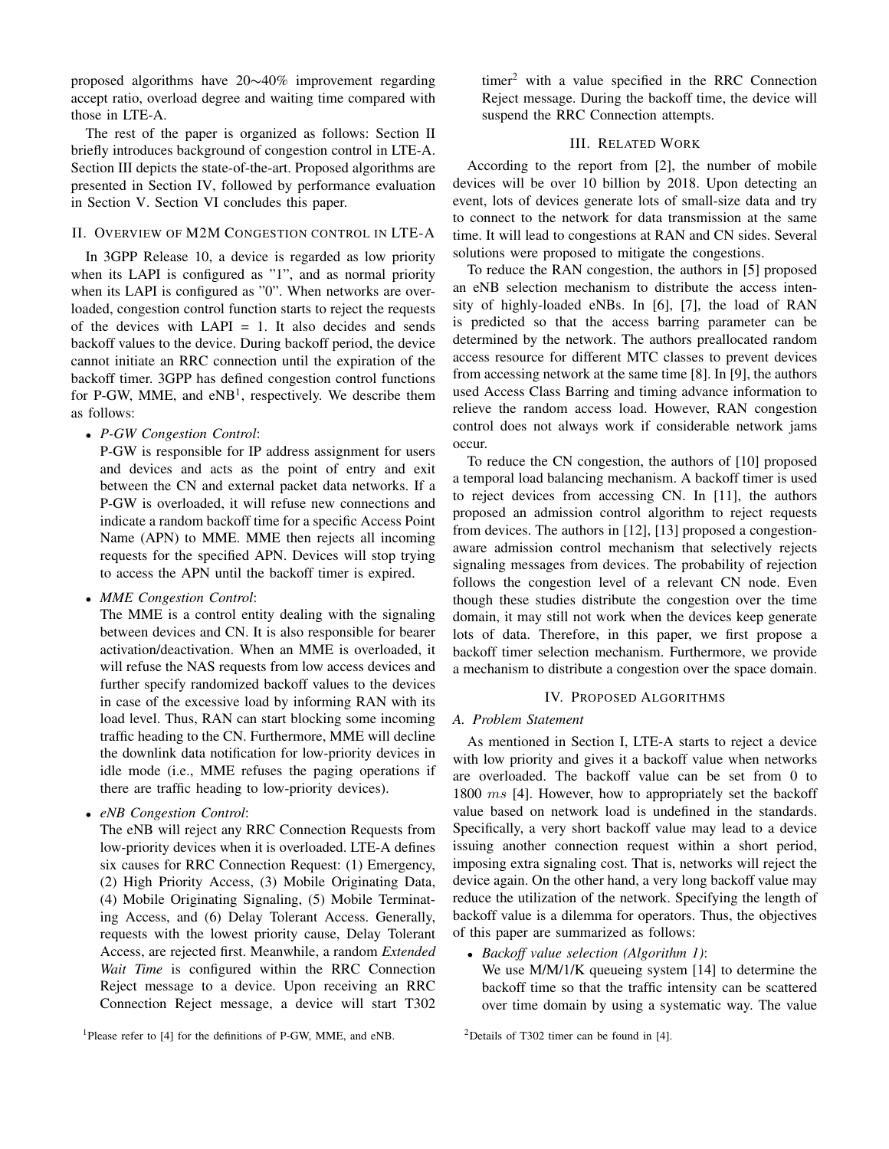proposed algorithms have 20∼40% improvement regarding accept ratio, overload degree and waiting time compared with those in LTE-A.

The rest of the paper is organized as follows: Section II briefly introduces background of congestion control in LTE-A. Section III depicts the state-of-the-art. Proposed algorithms are presented in Section IV, followed by performance evaluation in Section V. Section VI concludes this paper.

# II. OVERVIEW OF M2M CONGESTION CONTROL IN LTE-A

In 3GPP Release 10, a device is regarded as low priority when its LAPI is configured as "1", and as normal priority when its LAPI is configured as "0". When networks are overloaded, congestion control function starts to reject the requests of the devices with  $LAPI = 1$ . It also decides and sends backoff values to the device. During backoff period, the device cannot initiate an RRC connection until the expiration of the backoff timer. 3GPP has defined congestion control functions for P-GW, MME, and  $eNB<sup>1</sup>$ , respectively. We describe them as follows:

<sup>∙</sup> *P-GW Congestion Control*:

P-GW is responsible for IP address assignment for users and devices and acts as the point of entry and exit between the CN and external packet data networks. If a P-GW is overloaded, it will refuse new connections and indicate a random backoff time for a specific Access Point Name (APN) to MME. MME then rejects all incoming requests for the specified APN. Devices will stop trying to access the APN until the backoff timer is expired.

<sup>∙</sup> *MME Congestion Control*:

The MME is a control entity dealing with the signaling between devices and CN. It is also responsible for bearer activation/deactivation. When an MME is overloaded, it will refuse the NAS requests from low access devices and further specify randomized backoff values to the devices in case of the excessive load by informing RAN with its load level. Thus, RAN can start blocking some incoming traffic heading to the CN. Furthermore, MME will decline the downlink data notification for low-priority devices in idle mode (i.e., MME refuses the paging operations if there are traffic heading to low-priority devices).

<sup>∙</sup> *eNB Congestion Control*:

The eNB will reject any RRC Connection Requests from low-priority devices when it is overloaded. LTE-A defines six causes for RRC Connection Request: (1) Emergency, (2) High Priority Access, (3) Mobile Originating Data, (4) Mobile Originating Signaling, (5) Mobile Terminating Access, and (6) Delay Tolerant Access. Generally, requests with the lowest priority cause, Delay Tolerant Access, are rejected first. Meanwhile, a random *Extended Wait Time* is configured within the RRC Connection Reject message to a device. Upon receiving an RRC Connection Reject message, a device will start T302

<sup>1</sup>Please refer to [4] for the definitions of P-GW, MME, and eNB.

 $\times$  timer<sup>2</sup> with a value specified in the RRC Connection Reject message. During the backoff time, the device will suspend the RRC Connection attempts.

# III. RELATED WORK

According to the report from [2], the number of mobile devices will be over 10 billion by 2018. Upon detecting an event, lots of devices generate lots of small-size data and try to connect to the network for data transmission at the same time. It will lead to congestions at RAN and CN sides. Several solutions were proposed to mitigate the congestions.

To reduce the RAN congestion, the authors in [5] proposed an eNB selection mechanism to distribute the access intensity of highly-loaded eNBs. In [6], [7], the load of RAN is predicted so that the access barring parameter can be determined by the network. The authors preallocated random access resource for different MTC classes to prevent devices from accessing network at the same time [8]. In [9], the authors used Access Class Barring and timing advance information to relieve the random access load. However, RAN congestion control does not always work if considerable network jams occur.

To reduce the CN congestion, the authors of [10] proposed a temporal load balancing mechanism. A backoff timer is used to reject devices from accessing CN. In [11], the authors proposed an admission control algorithm to reject requests from devices. The authors in [12], [13] proposed a congestionaware admission control mechanism that selectively rejects signaling messages from devices. The probability of rejection follows the congestion level of a relevant CN node. Even though these studies distribute the congestion over the time domain, it may still not work when the devices keep generate lots of data. Therefore, in this paper, we first propose a backoff timer selection mechanism. Furthermore, we provide a mechanism to distribute a congestion over the space domain.

## IV. PROPOSED ALGORITHMS

# *A. Problem Statement*

As mentioned in Section I, LTE-A starts to reject a device with low priority and gives it a backoff value when networks are overloaded. The backoff value can be set from 0 to 1800  $ms$  [4]. However, how to appropriately set the backoff value based on network load is undefined in the standards. Specifically, a very short backoff value may lead to a device issuing another connection request within a short period, imposing extra signaling cost. That is, networks will reject the device again. On the other hand, a very long backoff value may reduce the utilization of the network. Specifying the length of backoff value is a dilemma for operators. Thus, the objectives of this paper are summarized as follows:

<sup>∙</sup> *Backoff value selection (Algorithm 1)*:

We use M/M/1/K queueing system [14] to determine the backoff time so that the traffic intensity can be scattered over time domain by using a systematic way. The value

<sup>2</sup>Details of T302 timer can be found in  $[4]$ .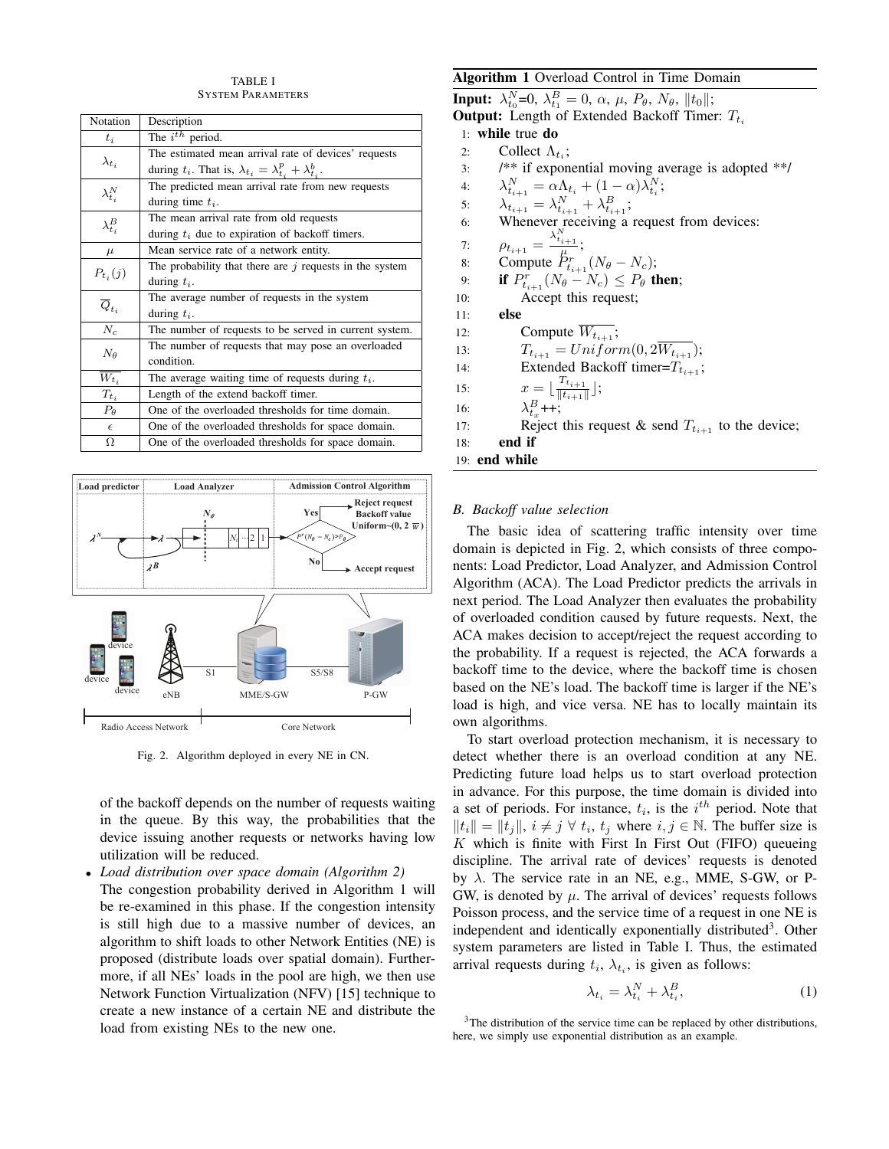## TABLE I SYSTEM PARAMETERS

| Notation             | Description                                                                   |  |  |  |  |
|----------------------|-------------------------------------------------------------------------------|--|--|--|--|
| $t_i$                | The $i^{th}$ period.                                                          |  |  |  |  |
| $\lambda_{t_i}$      | The estimated mean arrival rate of devices' requests                          |  |  |  |  |
|                      | during $t_i$ . That is, $\lambda_{t_i} = \lambda_{t_i}^p + \lambda_{t_i}^b$ . |  |  |  |  |
| $\lambda_{t_i}^N$    | The predicted mean arrival rate from new requests                             |  |  |  |  |
|                      | during time $t_i$ .                                                           |  |  |  |  |
| $\lambda^B_{t_i}$    | The mean arrival rate from old requests                                       |  |  |  |  |
|                      | during $t_i$ due to expiration of backoff timers.                             |  |  |  |  |
| $\mu$                | Mean service rate of a network entity.                                        |  |  |  |  |
| $P_{t_i}(j)$         | The probability that there are $j$ requests in the system                     |  |  |  |  |
|                      | during $t_i$ .                                                                |  |  |  |  |
| $\overline{Q}_{t_i}$ | The average number of requests in the system                                  |  |  |  |  |
|                      | during $t_i$ .                                                                |  |  |  |  |
| $\overline{N_c}$     | The number of requests to be served in current system.                        |  |  |  |  |
| $N_{\theta}$         | The number of requests that may pose an overloaded                            |  |  |  |  |
|                      | condition.                                                                    |  |  |  |  |
| $\overline{W_{t_i}}$ | The average waiting time of requests during $t_i$ .                           |  |  |  |  |
| $T_{t_i}$            | Length of the extend backoff timer.                                           |  |  |  |  |
| $P_{\theta}$         | One of the overloaded thresholds for time domain.                             |  |  |  |  |
| $\epsilon$           | One of the overloaded thresholds for space domain.                            |  |  |  |  |
| Ω                    | One of the overloaded thresholds for space domain.                            |  |  |  |  |



Fig. 2. Algorithm deployed in every NE in CN.

of the backoff depends on the number of requests waiting in the queue. By this way, the probabilities that the device issuing another requests or networks having low utilization will be reduced.

<sup>∙</sup> *Load distribution over space domain (Algorithm 2)* The congestion probability derived in Algorithm 1 will be re-examined in this phase. If the congestion intensity is still high due to a massive number of devices, an algorithm to shift loads to other Network Entities (NE) is proposed (distribute loads over spatial domain). Furthermore, if all NEs' loads in the pool are high, we then use Network Function Virtualization (NFV) [15] technique to create a new instance of a certain NE and distribute the load from existing NEs to the new one.

# **Algorithm 1** Overload Control in Time Domain

**Input:**  $\lambda_{t_0}^N = 0$ ,  $\lambda_{t_1}^B = 0$ ,  $\alpha$ ,  $\mu$ ,  $P_{\theta}$ ,  $N_{\theta}$ ,  $||t_0||$ ;

**Output:** Length of Extended Backoff Timer:  $T_{t_i}$ 

- 1: **while** true **do**
- 2: Collect  $\Lambda_{t_i}$ ;
- 3: /\*\* if exponential moving average is adopted \*\*/
- 4:  $\lambda_{t_{i+1}}^N = \alpha \Lambda_{t_i} + (1-\alpha) \lambda_{t_i}^N;$
- 5:  $\lambda_{t_{i+1}} = \lambda_{t_{i+1}}^N + \lambda_{t_{i+1}}^B;$
- 6: Whenever receiving a request from devices:
- 7:  $\rho_{t_{i+1}} = \frac{\lambda_{t_{i+1}}^N}{\mu};$
- 8: Compute  $\bar{P}_{t_{i+1}}^r(N_\theta N_c);$
- 9: **if**  $P_{t_{i+1}}^r(N_\theta N_c) \leq P_\theta$  then;
- 10: Accept this request;

11: **else**

- 12: Compute  $\overline{W_{t_{i+1}}}$ ;
- 13:  $T_{t_{i+1}} = Uniform(0, 2W_{t_{i+1}});$
- 14: Extended Backoff timer= $T_{t_{i+1}}$ ;
- 15:  $x = \lfloor \frac{T_{t_{i+1}}}{\|t_{i+1}\|} \rfloor;$
- 16:  $\lambda_{t_x}^B$ ++;
- 17: Reject this request & send  $T_{t_{i+1}}$  to the device;
- 18: **end if**
- 19: **end while**

# *B. Backoff value selection*

The basic idea of scattering traffic intensity over time domain is depicted in Fig. 2, which consists of three components: Load Predictor, Load Analyzer, and Admission Control Algorithm (ACA). The Load Predictor predicts the arrivals in next period. The Load Analyzer then evaluates the probability of overloaded condition caused by future requests. Next, the ACA makes decision to accept/reject the request according to the probability. If a request is rejected, the ACA forwards a backoff time to the device, where the backoff time is chosen based on the NE's load. The backoff time is larger if the NE's load is high, and vice versa. NE has to locally maintain its own algorithms.

To start overload protection mechanism, it is necessary to detect whether there is an overload condition at any NE. Predicting future load helps us to start overload protection in advance. For this purpose, the time domain is divided into a set of periods. For instance,  $t_i$ , is the  $i^{th}$  period. Note that  $||t_i|| = ||t_j||, i \neq j \,\forall \, t_i, t_j$  where  $i, j \in \mathbb{N}$ . The buffer size is  $K$  which is finite with First In First Out (FIFO) queueing discipline. The arrival rate of devices' requests is denoted by  $\lambda$ . The service rate in an NE, e.g., MME, S-GW, or P-GW, is denoted by  $\mu$ . The arrival of devices' requests follows Poisson process, and the service time of a request in one NE is independent and identically exponentially distributed<sup>3</sup>. Other system parameters are listed in Table I. Thus, the estimated arrival requests during  $t_i$ ,  $\lambda_{t_i}$ , is given as follows:

$$
\lambda_{t_i} = \lambda_{t_i}^N + \lambda_{t_i}^B,\tag{1}
$$

 $3$ The distribution of the service time can be replaced by other distributions, here, we simply use exponential distribution as an example.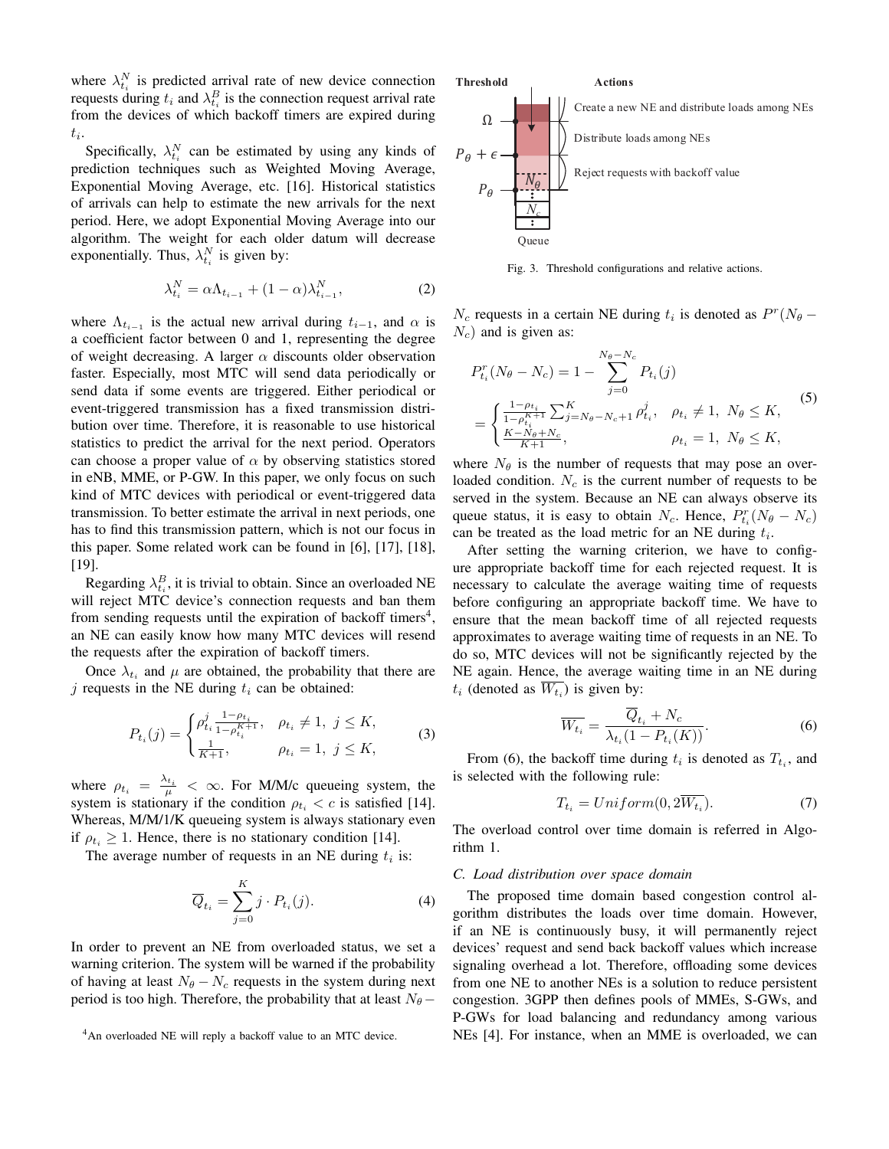where  $\lambda_{t_i}^N$  is predicted arrival rate of new device connection requests during  $t_i$  and  $\lambda_{t_i}^B$  is the connection request arrival rate from the devices of which backoff timers are expired during  $t_i$ .

Specifically,  $\lambda_{t_i}^N$  can be estimated by using any kinds of prediction techniques such as Weighted Moving Average, Exponential Moving Average, etc. [16]. Historical statistics of arrivals can help to estimate the new arrivals for the next period. Here, we adopt Exponential Moving Average into our algorithm. The weight for each older datum will decrease exponentially. Thus,  $\lambda_{t_i}^N$  is given by:

$$
\lambda_{t_i}^N = \alpha \Lambda_{t_{i-1}} + (1 - \alpha) \lambda_{t_{i-1}}^N,
$$
\n(2)

where  $\Lambda_{t_{i-1}}$  is the actual new arrival during  $t_{i-1}$ , and  $\alpha$  is a coefficient factor between 0 and 1, representing the degree of weight decreasing. A larger  $\alpha$  discounts older observation faster. Especially, most MTC will send data periodically or send data if some events are triggered. Either periodical or event-triggered transmission has a fixed transmission distribution over time. Therefore, it is reasonable to use historical statistics to predict the arrival for the next period. Operators can choose a proper value of  $\alpha$  by observing statistics stored in eNB, MME, or P-GW. In this paper, we only focus on such kind of MTC devices with periodical or event-triggered data transmission. To better estimate the arrival in next periods, one has to find this transmission pattern, which is not our focus in this paper. Some related work can be found in [6], [17], [18], [19].

Regarding  $\lambda_{t_i}^B$ , it is trivial to obtain. Since an overloaded NE will reject MTC device's connection requests and ban them from sending requests until the expiration of backoff timers<sup>4</sup>, an NE can easily know how many MTC devices will resend the requests after the expiration of backoff timers.

Once  $\lambda_{t_i}$  and  $\mu$  are obtained, the probability that there are j requests in the NE during  $t_i$  can be obtained:

$$
P_{t_i}(j) = \begin{cases} \rho_{t_i}^j \frac{1 - \rho_{t_i}}{1 - \rho_{t_i}^{K+1}}, & \rho_{t_i} \neq 1, \ j \leq K, \\ \frac{1}{K+1}, & \rho_{t_i} = 1, \ j \leq K, \end{cases} \tag{3}
$$

where  $\rho_{t_i} = \frac{\lambda_{t_i}}{\mu} < \infty$ . For M/M/c queueing system, the system is stationary if the condition  $\rho_{t_i} < c$  is satisfied [14]. Whereas, M/M/1/K queueing system is always stationary even if  $\rho_{t_i} \geq 1$ . Hence, there is no stationary condition [14].

The average number of requests in an NE during  $t_i$  is:

$$
\overline{Q}_{t_i} = \sum_{j=0}^{K} j \cdot P_{t_i}(j). \tag{4}
$$

In order to prevent an NE from overloaded status, we set a warning criterion. The system will be warned if the probability of having at least  $N_{\theta} - N_c$  requests in the system during next period is too high. Therefore, the probability that at least  $N_{\theta}$  –



Fig. 3. Threshold configurations and relative actions.

 $N_c$  requests in a certain NE during  $t_i$  is denoted as  $P^r(N_\theta - )$  $N_c$ ) and is given as:

$$
P_{t_i}^r(N_\theta - N_c) = 1 - \sum_{j=0}^{N_\theta - N_c} P_{t_i}(j)
$$
  
= 
$$
\begin{cases} \frac{1 - \rho_{t_i}}{1 - \rho_{t_i}^{K+1}} \sum_{j=N_\theta - N_c + 1}^{K} \rho_{t_i}^j, & \rho_{t_i} \neq 1, N_\theta \leq K, \\ \frac{K - N_\theta + N_c}{K+1}, & \rho_{t_i} = 1, N_\theta \leq K, \end{cases}
$$
(5)

where  $N_{\theta}$  is the number of requests that may pose an overloaded condition.  $N_c$  is the current number of requests to be served in the system. Because an NE can always observe its queue status, it is easy to obtain  $N_c$ . Hence,  $P_{t_i}^r(N_\theta - N_c)$ can be treated as the load metric for an NE during  $t_i$ .

After setting the warning criterion, we have to configure appropriate backoff time for each rejected request. It is necessary to calculate the average waiting time of requests before configuring an appropriate backoff time. We have to ensure that the mean backoff time of all rejected requests approximates to average waiting time of requests in an NE. To do so, MTC devices will not be significantly rejected by the NE again. Hence, the average waiting time in an NE during  $t_i$  (denoted as  $W_{t_i}$ ) is given by:

$$
\overline{W_{t_i}} = \frac{\overline{Q}_{t_i} + N_c}{\lambda_{t_i}(1 - P_{t_i}(K))}.
$$
\n(6)

From (6), the backoff time during  $t_i$  is denoted as  $T_{t_i}$ , and is selected with the following rule:

$$
T_{t_i} = Uniform(0, 2\overline{W_{t_i}}). \tag{7}
$$

The overload control over time domain is referred in Algorithm 1.

## *C. Load distribution over space domain*

The proposed time domain based congestion control algorithm distributes the loads over time domain. However, if an NE is continuously busy, it will permanently reject devices' request and send back backoff values which increase signaling overhead a lot. Therefore, offloading some devices from one NE to another NEs is a solution to reduce persistent congestion. 3GPP then defines pools of MMEs, S-GWs, and P-GWs for load balancing and redundancy among various NEs [4]. For instance, when an MME is overloaded, we can

<sup>&</sup>lt;sup>4</sup>An overloaded NE will reply a backoff value to an MTC device.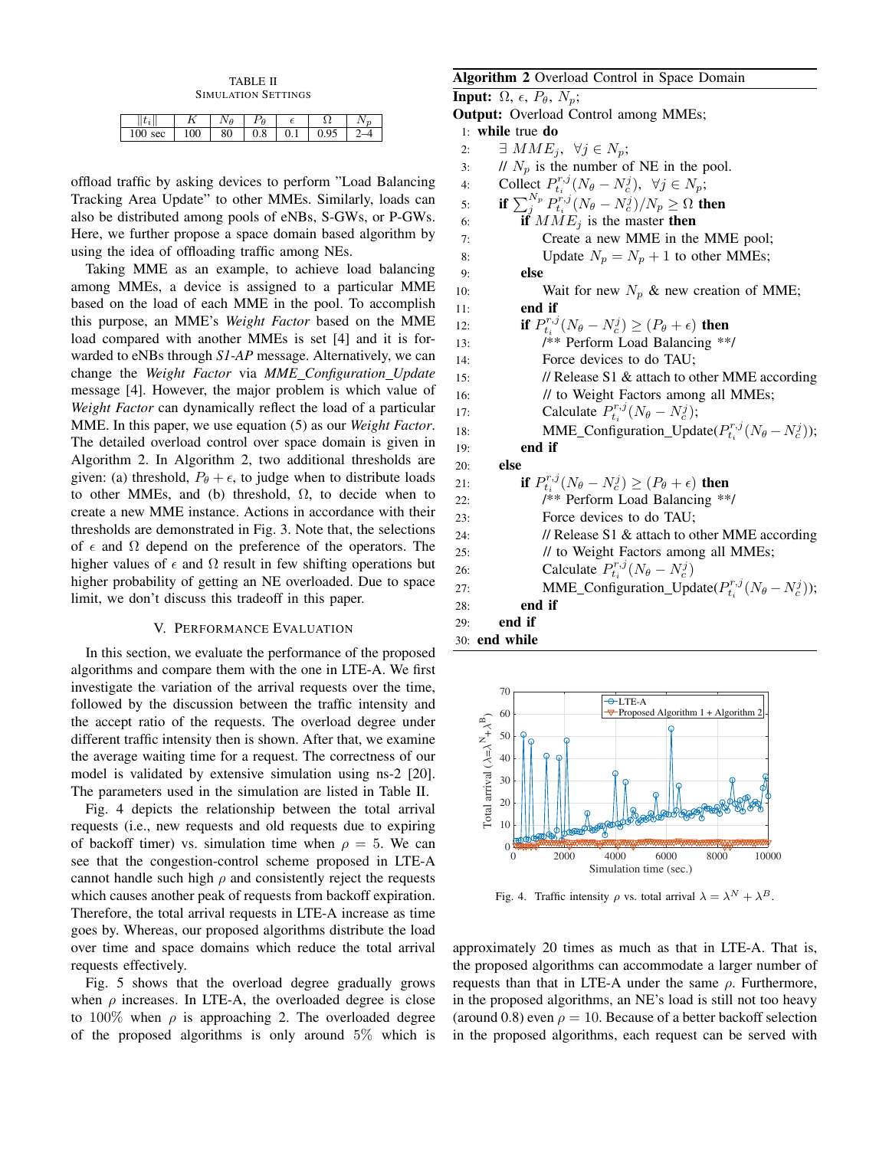TABLE II SIMULATION SETTINGS

| ı                  |         |    | А   |     |   |  |
|--------------------|---------|----|-----|-----|---|--|
| 100<br>$0^{\circ}$ | ഹ<br>vv | 80 | υ.ο | ◡.⊥ | . |  |

offload traffic by asking devices to perform "Load Balancing Tracking Area Update" to other MMEs. Similarly, loads can also be distributed among pools of eNBs, S-GWs, or P-GWs. Here, we further propose a space domain based algorithm by using the idea of offloading traffic among NEs.

Taking MME as an example, to achieve load balancing among MMEs, a device is assigned to a particular MME based on the load of each MME in the pool. To accomplish this purpose, an MME's *Weight Factor* based on the MME load compared with another MMEs is set [4] and it is forwarded to eNBs through *S1-AP* message. Alternatively, we can change the *Weight Factor* via *MME Configuration Update* message [4]. However, the major problem is which value of *Weight Factor* can dynamically reflect the load of a particular MME. In this paper, we use equation (5) as our *Weight Factor*. The detailed overload control over space domain is given in Algorithm 2. In Algorithm 2, two additional thresholds are given: (a) threshold,  $P_{\theta} + \epsilon$ , to judge when to distribute loads to other MMEs, and (b) threshold,  $\Omega$ , to decide when to create a new MME instance. Actions in accordance with their thresholds are demonstrated in Fig. 3. Note that, the selections of  $\epsilon$  and  $\Omega$  depend on the preference of the operators. The higher values of  $\epsilon$  and  $\Omega$  result in few shifting operations but higher probability of getting an NE overloaded. Due to space limit, we don't discuss this tradeoff in this paper.

# V. PERFORMANCE EVALUATION

In this section, we evaluate the performance of the proposed algorithms and compare them with the one in LTE-A. We first investigate the variation of the arrival requests over the time, followed by the discussion between the traffic intensity and the accept ratio of the requests. The overload degree under different traffic intensity then is shown. After that, we examine the average waiting time for a request. The correctness of our model is validated by extensive simulation using ns-2 [20]. The parameters used in the simulation are listed in Table II.

Fig. 4 depicts the relationship between the total arrival requests (i.e., new requests and old requests due to expiring of backoff timer) vs. simulation time when  $\rho = 5$ . We can see that the congestion-control scheme proposed in LTE-A cannot handle such high  $\rho$  and consistently reject the requests which causes another peak of requests from backoff expiration. Therefore, the total arrival requests in LTE-A increase as time goes by. Whereas, our proposed algorithms distribute the load over time and space domains which reduce the total arrival requests effectively.

Fig. 5 shows that the overload degree gradually grows when  $\rho$  increases. In LTE-A, the overloaded degree is close to 100% when  $\rho$  is approaching 2. The overloaded degree of the proposed algorithms is only around 5% which is

# **Algorithm 2** Overload Control in Space Domain

**Input:**  $\Omega$ ,  $\epsilon$ ,  $P_{\theta}$ ,  $N_n$ ; **Output:** Overload Control among MMEs; 1: **while** true **do** 2:  $\exists$   $MME_i$ ,  $\forall j \in N_p$ ; 3: //  $N_p$  is the number of NE in the pool. 4: Collect  $P_{t_i}^{r,j}(N_\theta - N_c^j), \forall j \in N_p;$ 5: **if**  $\sum_{j}^{N_p} P_{t_i}^{r,j} (N_\theta - N_c^j) / N_p \ge \Omega$  **then** 6: **if**  $MME_j$  is the master **then** 7: Create a new MME in the MME pool; 8: Update  $N_p = N_p + 1$  to other MMEs; 9: **else** 10: Wait for new  $N_p$  & new creation of MME; 11: **end if** 12: **if**  $P_{t_i}^{r,j}(N_\theta - N_c^j) \ge (P_\theta + \epsilon)$  **then** 13: /\*\* Perform Load Balancing \*\*/ 14: Force devices to do TAU; 15: // Release S1 & attach to other MME according 16: *// to Weight Factors among all MMEs*; 17: Calculate  $P_{t_i}^{r,j}(N_\theta - N_c^j);$ 18: **MME\_Configuration\_Update** $(P_{t_i}^{r,j}(N_\theta - N_c^j));$ 19: **end if** 20: **else** 21: **if**  $P_{t_i}^{r,j}(N_\theta - N_c^j) \ge (P_\theta + \epsilon)$  **then** 22: /\*\* Perform Load Balancing \*\*/ 23: Force devices to do TAU; 24: // Release S1 & attach to other MME according 25: // to Weight Factors among all MMEs; 26: Calculate  $P_{t_i}^{r,j}(N_\theta - N_c^j)$ 27: **MME\_Configuration\_Update** $(P_{t_i}^{r,j}(N_\theta - N_c^j));$ 28: **end if** 29: **end if** 30: **end while**



Fig. 4. Traffic intensity  $\rho$  vs. total arrival  $\lambda = \lambda^N + \lambda^B$ .

approximately 20 times as much as that in LTE-A. That is, the proposed algorithms can accommodate a larger number of requests than that in LTE-A under the same  $\rho$ . Furthermore, in the proposed algorithms, an NE's load is still not too heavy (around 0.8) even  $\rho = 10$ . Because of a better backoff selection in the proposed algorithms, each request can be served with